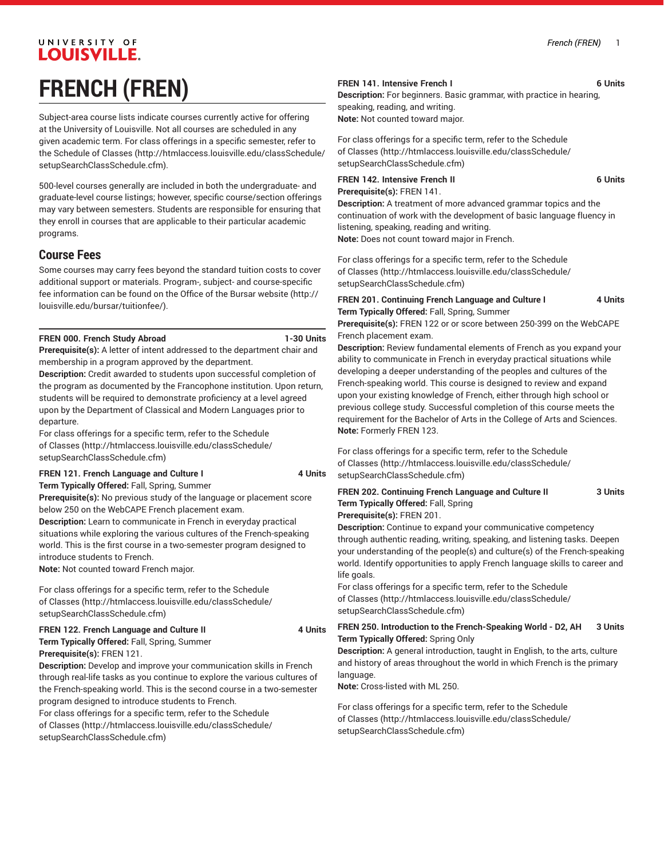# UNIVERSITY OF **LOUISVILLE. FRENCH (FREN)**

Subject-area course lists indicate courses currently active for offering at the University of Louisville. Not all courses are scheduled in any given academic term. For class offerings in a specific semester, refer to the [Schedule of Classes](http://htmlaccess.louisville.edu/classSchedule/setupSearchClassSchedule.cfm) ([http://htmlaccess.louisville.edu/classSchedule/](http://htmlaccess.louisville.edu/classSchedule/setupSearchClassSchedule.cfm) [setupSearchClassSchedule.cfm\)](http://htmlaccess.louisville.edu/classSchedule/setupSearchClassSchedule.cfm).

500-level courses generally are included in both the undergraduate- and graduate-level course listings; however, specific course/section offerings may vary between semesters. Students are responsible for ensuring that they enroll in courses that are applicable to their particular academic programs.

## **Course Fees**

Some courses may carry fees beyond the standard tuition costs to cover additional support or materials. Program-, subject- and course-specific fee information can be found on the [Office of the Bursar website](http://louisville.edu/bursar/tuitionfee/) ([http://](http://louisville.edu/bursar/tuitionfee/) [louisville.edu/bursar/tuitionfee/](http://louisville.edu/bursar/tuitionfee/)).

## **FREN 000. French Study Abroad 1-30 Units**

**Prerequisite(s):** A letter of intent addressed to the department chair and membership in a program approved by the department.

**Description:** Credit awarded to students upon successful completion of the program as documented by the Francophone institution. Upon return, students will be required to demonstrate proficiency at a level agreed upon by the Department of Classical and Modern Languages prior to departure.

For class offerings for a specific term, refer to the [Schedule](http://htmlaccess.louisville.edu/classSchedule/setupSearchClassSchedule.cfm) [of Classes \(http://htmlaccess.louisville.edu/classSchedule/](http://htmlaccess.louisville.edu/classSchedule/setupSearchClassSchedule.cfm) [setupSearchClassSchedule.cfm\)](http://htmlaccess.louisville.edu/classSchedule/setupSearchClassSchedule.cfm)

#### **FREN 121. French Language and Culture I 4 Units**

**Term Typically Offered:** Fall, Spring, Summer

**Prerequisite(s):** No previous study of the language or placement score below 250 on the WebCAPE French placement exam.

**Description:** Learn to communicate in French in everyday practical situations while exploring the various cultures of the French-speaking world. This is the first course in a two-semester program designed to introduce students to French.

**Note:** Not counted toward French major.

For class offerings for a specific term, refer to the [Schedule](http://htmlaccess.louisville.edu/classSchedule/setupSearchClassSchedule.cfm) [of Classes \(http://htmlaccess.louisville.edu/classSchedule/](http://htmlaccess.louisville.edu/classSchedule/setupSearchClassSchedule.cfm) [setupSearchClassSchedule.cfm\)](http://htmlaccess.louisville.edu/classSchedule/setupSearchClassSchedule.cfm)

## **FREN 122. French Language and Culture II 4 Units Term Typically Offered:** Fall, Spring, Summer

**Prerequisite(s):** FREN 121. **Description:** Develop and improve your communication skills in French through real-life tasks as you continue to explore the various cultures of the French-speaking world. This is the second course in a two-semester program designed to introduce students to French.

For class offerings for a specific term, refer to the [Schedule](http://htmlaccess.louisville.edu/classSchedule/setupSearchClassSchedule.cfm) [of Classes \(http://htmlaccess.louisville.edu/classSchedule/](http://htmlaccess.louisville.edu/classSchedule/setupSearchClassSchedule.cfm) [setupSearchClassSchedule.cfm\)](http://htmlaccess.louisville.edu/classSchedule/setupSearchClassSchedule.cfm)

#### **FREN 141. Intensive French I 6 Units**

**Description:** For beginners. Basic grammar, with practice in hearing, speaking, reading, and writing. **Note:** Not counted toward major.

For class offerings for a specific term, refer to the [Schedule](http://htmlaccess.louisville.edu/classSchedule/setupSearchClassSchedule.cfm) [of Classes](http://htmlaccess.louisville.edu/classSchedule/setupSearchClassSchedule.cfm) ([http://htmlaccess.louisville.edu/classSchedule/](http://htmlaccess.louisville.edu/classSchedule/setupSearchClassSchedule.cfm) [setupSearchClassSchedule.cfm\)](http://htmlaccess.louisville.edu/classSchedule/setupSearchClassSchedule.cfm)

## **FREN 142. Intensive French II 6 Units**

**Prerequisite(s):** FREN 141. **Description:** A treatment of more advanced grammar topics and the continuation of work with the development of basic language fluency in listening, speaking, reading and writing. **Note:** Does not count toward major in French.

For class offerings for a specific term, refer to the [Schedule](http://htmlaccess.louisville.edu/classSchedule/setupSearchClassSchedule.cfm) [of Classes](http://htmlaccess.louisville.edu/classSchedule/setupSearchClassSchedule.cfm) ([http://htmlaccess.louisville.edu/classSchedule/](http://htmlaccess.louisville.edu/classSchedule/setupSearchClassSchedule.cfm) [setupSearchClassSchedule.cfm\)](http://htmlaccess.louisville.edu/classSchedule/setupSearchClassSchedule.cfm)

### **FREN 201. Continuing French Language and Culture I 4 Units Term Typically Offered:** Fall, Spring, Summer

**Prerequisite(s):** FREN 122 or or score between 250-399 on the WebCAPE French placement exam.

**Description:** Review fundamental elements of French as you expand your ability to communicate in French in everyday practical situations while developing a deeper understanding of the peoples and cultures of the French-speaking world. This course is designed to review and expand upon your existing knowledge of French, either through high school or previous college study. Successful completion of this course meets the requirement for the Bachelor of Arts in the College of Arts and Sciences. **Note:** Formerly FREN 123.

For class offerings for a specific term, refer to the [Schedule](http://htmlaccess.louisville.edu/classSchedule/setupSearchClassSchedule.cfm) [of Classes](http://htmlaccess.louisville.edu/classSchedule/setupSearchClassSchedule.cfm) ([http://htmlaccess.louisville.edu/classSchedule/](http://htmlaccess.louisville.edu/classSchedule/setupSearchClassSchedule.cfm) [setupSearchClassSchedule.cfm\)](http://htmlaccess.louisville.edu/classSchedule/setupSearchClassSchedule.cfm)

## **FREN 202. Continuing French Language and Culture II 3 Units Term Typically Offered:** Fall, Spring

**Prerequisite(s):** FREN 201.

**Description:** Continue to expand your communicative competency through authentic reading, writing, speaking, and listening tasks. Deepen your understanding of the people(s) and culture(s) of the French-speaking world. Identify opportunities to apply French language skills to career and life goals.

For class offerings for a specific term, refer to the [Schedule](http://htmlaccess.louisville.edu/classSchedule/setupSearchClassSchedule.cfm) [of Classes](http://htmlaccess.louisville.edu/classSchedule/setupSearchClassSchedule.cfm) ([http://htmlaccess.louisville.edu/classSchedule/](http://htmlaccess.louisville.edu/classSchedule/setupSearchClassSchedule.cfm) [setupSearchClassSchedule.cfm\)](http://htmlaccess.louisville.edu/classSchedule/setupSearchClassSchedule.cfm)

## **FREN 250. Introduction to the French-Speaking World - D2, AH 3 Units Term Typically Offered:** Spring Only

**Description:** A general introduction, taught in English, to the arts, culture and history of areas throughout the world in which French is the primary language.

**Note:** Cross-listed with ML 250.

For class offerings for a specific term, refer to the [Schedule](http://htmlaccess.louisville.edu/classSchedule/setupSearchClassSchedule.cfm) [of Classes](http://htmlaccess.louisville.edu/classSchedule/setupSearchClassSchedule.cfm) ([http://htmlaccess.louisville.edu/classSchedule/](http://htmlaccess.louisville.edu/classSchedule/setupSearchClassSchedule.cfm) [setupSearchClassSchedule.cfm\)](http://htmlaccess.louisville.edu/classSchedule/setupSearchClassSchedule.cfm)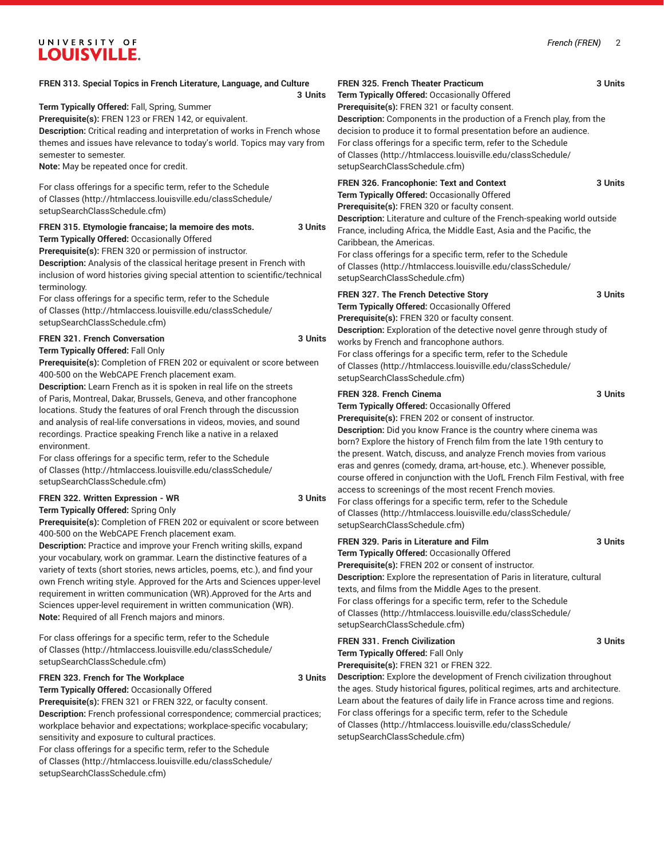## UNIVERSITY OF **LOUISVILLE.**

#### **FREN 313. Special Topics in French Literature, Language, and Culture**

| 3 Units                                                                                                                                                        |  |
|----------------------------------------------------------------------------------------------------------------------------------------------------------------|--|
| Term Typically Offered: Fall, Spring, Summer                                                                                                                   |  |
| <b>Prerequisite(s): FREN 123 or FREN 142, or equivalent.</b>                                                                                                   |  |
| <b>Description:</b> Critical reading and interpretation of works in French whose                                                                               |  |
| themes and issues have relevance to today's world. Topics may vary from                                                                                        |  |
| semester to semester.                                                                                                                                          |  |
| <b>Note:</b> May be repeated once for credit.                                                                                                                  |  |
| For class offerings for a specific term, refer to the Schedule<br>of Classes (http://htmlaccess.louisville.edu/classSchedule/<br>setupSearchClassSchedule.cfm) |  |
| FREN 315. Etymologie francaise; la memoire des mots.<br>3 Units                                                                                                |  |
| Term Typically Offered: Occasionally Offered                                                                                                                   |  |
| <b>Prerequisite(s):</b> FREN 320 or permission of instructor.                                                                                                  |  |
| <b>Description:</b> Analysis of the classical heritage present in French with                                                                                  |  |
| inclusion of word histories giving special attention to scientific/technical                                                                                   |  |
| terminology.                                                                                                                                                   |  |
| For class offerings for a specific term, refer to the Schedule                                                                                                 |  |
| of Classes (http://htmlaccess.louisville.edu/classSchedule/                                                                                                    |  |

## [setupSearchClassSchedule.cfm\)](http://htmlaccess.louisville.edu/classSchedule/setupSearchClassSchedule.cfm) **FREN 321. French Conversation 3 Units**

**Term Typically Offered:** Fall Only

**Prerequisite(s):** Completion of FREN 202 or equivalent or score between 400-500 on the WebCAPE French placement exam.

**Description:** Learn French as it is spoken in real life on the streets of Paris, Montreal, Dakar, Brussels, Geneva, and other francophone locations. Study the features of oral French through the discussion and analysis of real-life conversations in videos, movies, and sound recordings. Practice speaking French like a native in a relaxed environment.

For class offerings for a specific term, refer to the [Schedule](http://htmlaccess.louisville.edu/classSchedule/setupSearchClassSchedule.cfm) [of Classes \(http://htmlaccess.louisville.edu/classSchedule/](http://htmlaccess.louisville.edu/classSchedule/setupSearchClassSchedule.cfm) [setupSearchClassSchedule.cfm\)](http://htmlaccess.louisville.edu/classSchedule/setupSearchClassSchedule.cfm)

#### **FREN 322. Written Expression - WR 3 Units Term Typically Offered:** Spring Only

**Prerequisite(s):** Completion of FREN 202 or equivalent or score between 400-500 on the WebCAPE French placement exam.

**Description:** Practice and improve your French writing skills, expand your vocabulary, work on grammar. Learn the distinctive features of a variety of texts (short stories, news articles, poems, etc.), and find your own French writing style. Approved for the Arts and Sciences upper-level requirement in written communication (WR).Approved for the Arts and Sciences upper-level requirement in written communication (WR). **Note:** Required of all French majors and minors.

For class offerings for a specific term, refer to the [Schedule](http://htmlaccess.louisville.edu/classSchedule/setupSearchClassSchedule.cfm) [of Classes \(http://htmlaccess.louisville.edu/classSchedule/](http://htmlaccess.louisville.edu/classSchedule/setupSearchClassSchedule.cfm) [setupSearchClassSchedule.cfm\)](http://htmlaccess.louisville.edu/classSchedule/setupSearchClassSchedule.cfm)

#### **FREN 323. French for The Workplace 3 Units**

**Term Typically Offered:** Occasionally Offered **Prerequisite(s):** FREN 321 or FREN 322, or faculty consent. **Description:** French professional correspondence; commercial practices; workplace behavior and expectations; workplace-specific vocabulary; sensitivity and exposure to cultural practices. For class offerings for a specific term, refer to the [Schedule](http://htmlaccess.louisville.edu/classSchedule/setupSearchClassSchedule.cfm) [of Classes \(http://htmlaccess.louisville.edu/classSchedule/](http://htmlaccess.louisville.edu/classSchedule/setupSearchClassSchedule.cfm) [setupSearchClassSchedule.cfm\)](http://htmlaccess.louisville.edu/classSchedule/setupSearchClassSchedule.cfm)

**FREN 325. French Theater Practicum 3 Units Term Typically Offered:** Occasionally Offered **Prerequisite(s):** FREN 321 or faculty consent. **Description:** Components in the production of a French play, from the decision to produce it to formal presentation before an audience. For class offerings for a specific term, refer to the [Schedule](http://htmlaccess.louisville.edu/classSchedule/setupSearchClassSchedule.cfm) [of Classes](http://htmlaccess.louisville.edu/classSchedule/setupSearchClassSchedule.cfm) ([http://htmlaccess.louisville.edu/classSchedule/](http://htmlaccess.louisville.edu/classSchedule/setupSearchClassSchedule.cfm) [setupSearchClassSchedule.cfm\)](http://htmlaccess.louisville.edu/classSchedule/setupSearchClassSchedule.cfm) **FREN 326. Francophonie: Text and Context 3 Units Term Typically Offered:** Occasionally Offered **Prerequisite(s):** FREN 320 or faculty consent. **Description:** Literature and culture of the French-speaking world outside France, including Africa, the Middle East, Asia and the Pacific, the Caribbean, the Americas. For class offerings for a specific term, refer to the [Schedule](http://htmlaccess.louisville.edu/classSchedule/setupSearchClassSchedule.cfm)

[of Classes](http://htmlaccess.louisville.edu/classSchedule/setupSearchClassSchedule.cfm) ([http://htmlaccess.louisville.edu/classSchedule/](http://htmlaccess.louisville.edu/classSchedule/setupSearchClassSchedule.cfm) [setupSearchClassSchedule.cfm\)](http://htmlaccess.louisville.edu/classSchedule/setupSearchClassSchedule.cfm)

## **FREN 327. The French Detective Story 3 Units**

**Term Typically Offered:** Occasionally Offered **Prerequisite(s):** FREN 320 or faculty consent.

**Description:** Exploration of the detective novel genre through study of works by French and francophone authors. For class offerings for a specific term, refer to the [Schedule](http://htmlaccess.louisville.edu/classSchedule/setupSearchClassSchedule.cfm)

[of Classes](http://htmlaccess.louisville.edu/classSchedule/setupSearchClassSchedule.cfm) ([http://htmlaccess.louisville.edu/classSchedule/](http://htmlaccess.louisville.edu/classSchedule/setupSearchClassSchedule.cfm) [setupSearchClassSchedule.cfm\)](http://htmlaccess.louisville.edu/classSchedule/setupSearchClassSchedule.cfm)

#### **FREN 328. French Cinema 3 Units**

**Term Typically Offered:** Occasionally Offered

**Prerequisite(s):** FREN 202 or consent of instructor. **Description:** Did you know France is the country where cinema was born? Explore the history of French film from the late 19th century to the present. Watch, discuss, and analyze French movies from various eras and genres (comedy, drama, art-house, etc.). Whenever possible, course offered in conjunction with the UofL French Film Festival, with free access to screenings of the most recent French movies. For class offerings for a specific term, refer to the [Schedule](http://htmlaccess.louisville.edu/classSchedule/setupSearchClassSchedule.cfm) [of Classes](http://htmlaccess.louisville.edu/classSchedule/setupSearchClassSchedule.cfm) ([http://htmlaccess.louisville.edu/classSchedule/](http://htmlaccess.louisville.edu/classSchedule/setupSearchClassSchedule.cfm)

**FREN 329. Paris in Literature and Film 3 Units**

[setupSearchClassSchedule.cfm\)](http://htmlaccess.louisville.edu/classSchedule/setupSearchClassSchedule.cfm)

**Term Typically Offered:** Occasionally Offered

**Prerequisite(s):** FREN 202 or consent of instructor. **Description:** Explore the representation of Paris in literature, cultural texts, and films from the Middle Ages to the present. For class offerings for a specific term, refer to the [Schedule](http://htmlaccess.louisville.edu/classSchedule/setupSearchClassSchedule.cfm) [of Classes](http://htmlaccess.louisville.edu/classSchedule/setupSearchClassSchedule.cfm) ([http://htmlaccess.louisville.edu/classSchedule/](http://htmlaccess.louisville.edu/classSchedule/setupSearchClassSchedule.cfm) [setupSearchClassSchedule.cfm\)](http://htmlaccess.louisville.edu/classSchedule/setupSearchClassSchedule.cfm)

## **FREN 331. French Civilization 3 Units**

**Term Typically Offered:** Fall Only **Prerequisite(s):** FREN 321 or FREN 322.

**Description:** Explore the development of French civilization throughout the ages. Study historical figures, political regimes, arts and architecture. Learn about the features of daily life in France across time and regions. For class offerings for a specific term, refer to the [Schedule](http://htmlaccess.louisville.edu/classSchedule/setupSearchClassSchedule.cfm) [of Classes](http://htmlaccess.louisville.edu/classSchedule/setupSearchClassSchedule.cfm) ([http://htmlaccess.louisville.edu/classSchedule/](http://htmlaccess.louisville.edu/classSchedule/setupSearchClassSchedule.cfm) [setupSearchClassSchedule.cfm\)](http://htmlaccess.louisville.edu/classSchedule/setupSearchClassSchedule.cfm)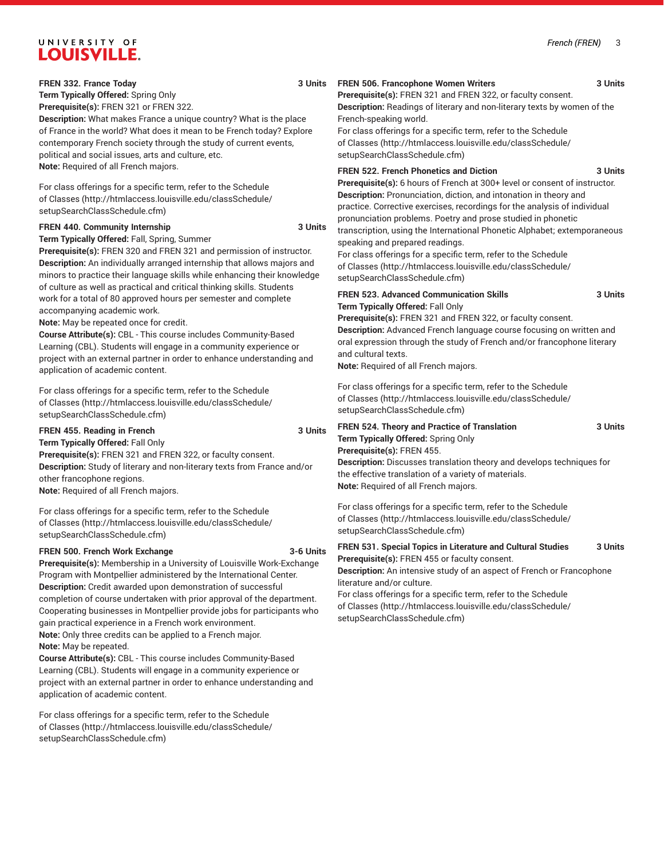## UNIVERSITY OF **LOUISVILLE.**

**FREN 332. France Today 3 Units**

**Term Typically Offered:** Spring Only

**Prerequisite(s):** FREN 321 or FREN 322.

**Description:** What makes France a unique country? What is the place of France in the world? What does it mean to be French today? Explore contemporary French society through the study of current events, political and social issues, arts and culture, etc. **Note:** Required of all French majors.

For class offerings for a specific term, refer to the [Schedule](http://htmlaccess.louisville.edu/classSchedule/setupSearchClassSchedule.cfm) [of Classes \(http://htmlaccess.louisville.edu/classSchedule/](http://htmlaccess.louisville.edu/classSchedule/setupSearchClassSchedule.cfm) [setupSearchClassSchedule.cfm\)](http://htmlaccess.louisville.edu/classSchedule/setupSearchClassSchedule.cfm)

#### FREN 440. Community Internship **3 Units**

**Term Typically Offered:** Fall, Spring, Summer

**Prerequisite(s):** FREN 320 and FREN 321 and permission of instructor. **Description:** An individually arranged internship that allows majors and minors to practice their language skills while enhancing their knowledge of culture as well as practical and critical thinking skills. Students work for a total of 80 approved hours per semester and complete accompanying academic work.

**Note:** May be repeated once for credit.

**Course Attribute(s):** CBL - This course includes Community-Based Learning (CBL). Students will engage in a community experience or project with an external partner in order to enhance understanding and application of academic content.

For class offerings for a specific term, refer to the [Schedule](http://htmlaccess.louisville.edu/classSchedule/setupSearchClassSchedule.cfm) [of Classes \(http://htmlaccess.louisville.edu/classSchedule/](http://htmlaccess.louisville.edu/classSchedule/setupSearchClassSchedule.cfm) [setupSearchClassSchedule.cfm\)](http://htmlaccess.louisville.edu/classSchedule/setupSearchClassSchedule.cfm)

## **FREN 455. Reading in French 3 Units**

**Term Typically Offered:** Fall Only **Prerequisite(s):** FREN 321 and FREN 322, or faculty consent. **Description:** Study of literary and non-literary texts from France and/or other francophone regions. **Note:** Required of all French majors.

For class offerings for a specific term, refer to the [Schedule](http://htmlaccess.louisville.edu/classSchedule/setupSearchClassSchedule.cfm) [of Classes \(http://htmlaccess.louisville.edu/classSchedule/](http://htmlaccess.louisville.edu/classSchedule/setupSearchClassSchedule.cfm) [setupSearchClassSchedule.cfm\)](http://htmlaccess.louisville.edu/classSchedule/setupSearchClassSchedule.cfm)

## **FREN 500. French Work Exchange 3-6 Units**

**Prerequisite(s):** Membership in a University of Louisville Work-Exchange Program with Montpellier administered by the International Center. **Description:** Credit awarded upon demonstration of successful completion of course undertaken with prior approval of the department. Cooperating businesses in Montpellier provide jobs for participants who gain practical experience in a French work environment. **Note:** Only three credits can be applied to a French major.

**Note:** May be repeated.

**Course Attribute(s):** CBL - This course includes Community-Based Learning (CBL). Students will engage in a community experience or project with an external partner in order to enhance understanding and application of academic content.

For class offerings for a specific term, refer to the [Schedule](http://htmlaccess.louisville.edu/classSchedule/setupSearchClassSchedule.cfm) [of Classes \(http://htmlaccess.louisville.edu/classSchedule/](http://htmlaccess.louisville.edu/classSchedule/setupSearchClassSchedule.cfm) [setupSearchClassSchedule.cfm\)](http://htmlaccess.louisville.edu/classSchedule/setupSearchClassSchedule.cfm)

## **FREN 506. Francophone Women Writers 3 Units**

**Prerequisite(s):** FREN 321 and FREN 322, or faculty consent. **Description:** Readings of literary and non-literary texts by women of the

French-speaking world.

For class offerings for a specific term, refer to the [Schedule](http://htmlaccess.louisville.edu/classSchedule/setupSearchClassSchedule.cfm) [of Classes](http://htmlaccess.louisville.edu/classSchedule/setupSearchClassSchedule.cfm) ([http://htmlaccess.louisville.edu/classSchedule/](http://htmlaccess.louisville.edu/classSchedule/setupSearchClassSchedule.cfm) [setupSearchClassSchedule.cfm\)](http://htmlaccess.louisville.edu/classSchedule/setupSearchClassSchedule.cfm)

## **FREN 522. French Phonetics and Diction 3 Units**

**Prerequisite(s):** 6 hours of French at 300+ level or consent of instructor. **Description:** Pronunciation, diction, and intonation in theory and practice. Corrective exercises, recordings for the analysis of individual pronunciation problems. Poetry and prose studied in phonetic transcription, using the International Phonetic Alphabet; extemporaneous speaking and prepared readings.

For class offerings for a specific term, refer to the [Schedule](http://htmlaccess.louisville.edu/classSchedule/setupSearchClassSchedule.cfm) [of Classes](http://htmlaccess.louisville.edu/classSchedule/setupSearchClassSchedule.cfm) ([http://htmlaccess.louisville.edu/classSchedule/](http://htmlaccess.louisville.edu/classSchedule/setupSearchClassSchedule.cfm) [setupSearchClassSchedule.cfm\)](http://htmlaccess.louisville.edu/classSchedule/setupSearchClassSchedule.cfm)

## **FREN 523. Advanced Communication Skills 3 Units Term Typically Offered:** Fall Only

**Prerequisite(s):** FREN 321 and FREN 322, or faculty consent. **Description:** Advanced French language course focusing on written and oral expression through the study of French and/or francophone literary and cultural texts.

**Note:** Required of all French majors.

For class offerings for a specific term, refer to the [Schedule](http://htmlaccess.louisville.edu/classSchedule/setupSearchClassSchedule.cfm) [of Classes](http://htmlaccess.louisville.edu/classSchedule/setupSearchClassSchedule.cfm) ([http://htmlaccess.louisville.edu/classSchedule/](http://htmlaccess.louisville.edu/classSchedule/setupSearchClassSchedule.cfm) [setupSearchClassSchedule.cfm\)](http://htmlaccess.louisville.edu/classSchedule/setupSearchClassSchedule.cfm)

## **FREN 524. Theory and Practice of Translation 3 Units Term Typically Offered:** Spring Only **Prerequisite(s):** FREN 455. **Description:** Discusses translation theory and develops techniques for the effective translation of a variety of materials.

**Note:** Required of all French majors.

For class offerings for a specific term, refer to the [Schedule](http://htmlaccess.louisville.edu/classSchedule/setupSearchClassSchedule.cfm) [of Classes](http://htmlaccess.louisville.edu/classSchedule/setupSearchClassSchedule.cfm) ([http://htmlaccess.louisville.edu/classSchedule/](http://htmlaccess.louisville.edu/classSchedule/setupSearchClassSchedule.cfm) [setupSearchClassSchedule.cfm\)](http://htmlaccess.louisville.edu/classSchedule/setupSearchClassSchedule.cfm)

| <b>FREN 531. Special Topics in Literature and Cultural Studies</b>    | 3 Units |
|-----------------------------------------------------------------------|---------|
| Prerequisite(s): FREN 455 or faculty consent.                         |         |
| Description: An intensive study of an aspect of French or Francophone |         |
| literature and/or culture.                                            |         |
| For class offerings for a specific term, refer to the Schedule        |         |
| of Classes (http://htmlaccess.louisville.edu/classSchedule/           |         |
| setupSearchClassSchedule.cfm)                                         |         |